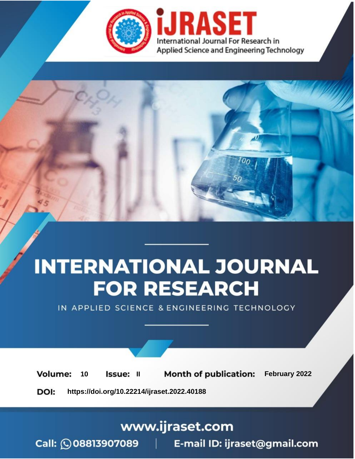

# **INTERNATIONAL JOURNAL FOR RESEARCH**

IN APPLIED SCIENCE & ENGINEERING TECHNOLOGY

**Month of publication:** February 2022 **Volume:** 10 **Issue: II** DOI: https://doi.org/10.22214/ijraset.2022.40188

www.ijraset.com

 $Call: \bigcirc$ 08813907089 E-mail ID: ijraset@gmail.com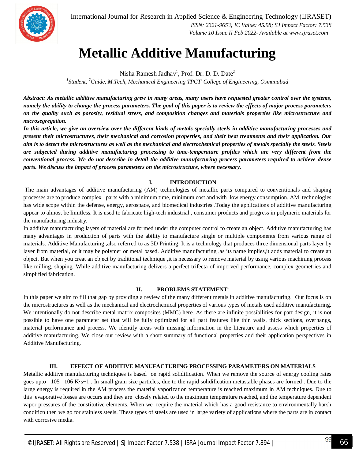

International Journal for Research in Applied Science & Engineering Technology (IJRASET**)**  *ISSN: 2321-9653; IC Value: 45.98; SJ Impact Factor: 7.538 Volume 10 Issue II Feb 2022- Available at www.ijraset.com*

### **Metallic Additive Manufacturing**

Nisha Ramesh Jadhav $^1$ , Prof. Dr. D. D. Date $^2$ *1 Student, <sup>2</sup>Guide, M.Tech, Mechanical Engineering TPCT<sup>s</sup>College of Engineering, Osmanabad*

*Abstract: As metallic additive manufacturing grew in many areas, many users have requested greater control over the systems, namely the ability to change the process parameters. The goal of this paper is to review the effects of major process parameters on the quality such as porosity, residual stress, and composition changes and materials properties like microstructure and microsegregation.* 

In this article, we give an overview over the different kinds of metals specially steels in additive manufacturing processes and *present their microstructures, their mechanical and corrosion properties, and their heat treatments and their application. Our aim is to detect the microstructures as well as the mechanical and electrochemical properties of metals specially the steels. Steels are subjected during additive manufacturing processing to time-temperature profiles which are very different from the conventional process. We do not describe in detail the additive manufacturing process parameters required to achieve dense parts. We discuss the impact of process parameters on the microstructure, where necessary.*

#### **I. INTRODUCTION**

The main advantages of additive manufacturing (AM) technologies of metallic parts compared to conventionals and shaping processes are to produce complex parts with a minimum time, minimum cost and with low energy consumption. AM technologies has wide scope within the defense, energy, aerospace, and biomedical industries .Today the applications of additive manufacturing appear to almost be limitless. It is used to fabricate high-tech industrial , consumer products and progress in polymeric materials for the manufacturing industry.

In additive manufacturing layers of material are formed under the computer control to create an object. Additive manufacturing has many advantages in production of parts with the ability to manufacture single or multiple components from various range of materials. Additive Manufacturing ,also referred to as 3D Printing. It is a technology that produces three dimensional parts layer by layer from material, or it may be polymer or metal based. Additive manufacturing ,as its name implies, it adds material to create an object. But when you creat an object by traditional technique ,it is necessary to remove material by using various machining process like milling, shaping. While additive manufacturing delivers a perfect trifecta of imporved performance, complex geometries and simplified fabrication.

#### **II. PROBLEMS STATEMENT**:

In this paper we aim to fill that gap by providing a review of the many different metals in additive manufacturing. Our focus is on the microstructures as well as the mechanical and electrochemical properties of various types of metals used additive manufacturing. We intentionally do not describe metal matrix composites (MMC) here. As there are infinite possibilities for part design, it is not possible to have one parameter set that will be fully optimized for all part features like thin walls, thick sections, overhangs, material performance and process. We identify areas with missing information in the literature and assess which properties of additive manufacturing. We close our review with a short summary of functional properties and their application perspectives in Additive Manufacturing.

#### **III. EFFECT OF ADDITIVE MANUFACTURING PROCESSING PARAMETERS ON MATERIALS**

Metallic additive manufacturing techniques is based on rapid solidification. When we remove the source of energy cooling rates goes upto 105 –106 K·s−1. In small grain size particles, due to the rapid solidification metastable phases are formed. Due to the large energy is required in the AM process the material vaporization temperature is reached maximum in AM techniques. Due to this evaporative losses are occurs and they are closely related to the maximum temperature reached, and the temperature dependent vapor pressures of the constitutive elements. When we require the material which has a good resistance to environmentally harsh condition then we go for stainless steels. These types of steels are used in large variety of applications where the parts are in contact with corrosive media.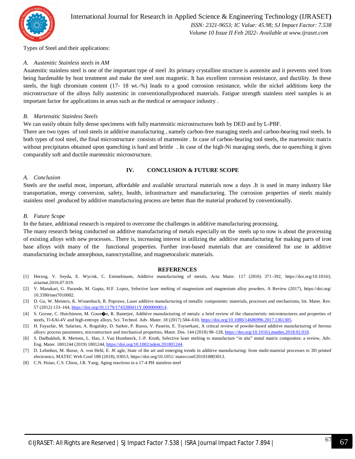

Types of Steel and their applications:

#### *A. Austenitic Stainless steels in AM*

Auatenitic stainless steel is one of the important type of steel .Its primary crystalline structure is austenite and it prevents steel from being hardenable by heat treatment and make the steel non magnetic. It has excellent corrosion resistance, and ductility. In these steels, the high chromium content (17- 18 wt.-%) leads to a good corrosion resistance, while the nickel additions keep the microstructure of the alloys fully austenitic in conventionallyproduced materials. Fatigue strength stainless steel samples is an important factor for applications in areas such as the medical or aerospace industry .

#### *B. Martensitic Stainless Steels*

We can easily obtain fully dense specimens with fully martensitic microstructures both by DED and by L-PBF.

There are two types of tool steels in additive manufacturing , namely carbon-free maraging steels and carbon-bearing tool steels. In both types of tool steel, the final microstructure consists of martensite . In case of carbon-bearing tool steels, the martensitic matrix without precipitates obtained upon quenching is hard and brittle. In case of the high-Ni maraging steels, due to quenching it gives comparably soft and ductile martensitic microstructure.

#### *A. Conclusion*

#### **IV. CONCLUSION & FUTURE SCOPE**

Steels are the useful most, important, affordable and available structural materials now a days .It is used in many industry like transportation, energy conversion, safety, health, infrastructure and manufacturing. The corrosion properties of steels mainly stainless steel ,produced by additive manufacturing process are better than the material produced by conventionally.

#### *B. Future Scope*

In the future, additional research is required to overcome the challenges in additive manufacturing processing.

The many research being conducted on additive manufacturing of metals especially on the steels up to now is about the processing of existing alloys with new processes.. There is, increasing interest in utilizing the additive manufacturing for making parts of iron base alloys with many of the functional properties. Further iron-based materials that are considered for use in additive manufacturing include amorphous, nanocrystalline, and magnetocaloric materials.

#### **REFERENCES**

- [1] Herzog, V. Seyda, E. Wycisk, C. Emmelmann, Additive manufacturing of metals, Acta Mater. 117 (2016) 371–392, https://doi.org/10.1016/j. actamat.2016.07.019.
- [2] V. Manakari, G. Parande, M. Gupta, H.F. Lopez, Selective laser melting of magnesium and magnesium alloy powders, A Review (2017), https://doi.org/ 10.3390/met7010002.
- [3] D. Gu, W. Meiners, K. Wissenbach, R. Poprawe, Laser additive manufacturing of metallic components: materials, processes and mechanisms, Int. Mater. Rev. 57 (2012) 133–164, https://doi.org/10.1179/1743280411Y.0000000014.
- [4] S. Gorsse, C. Hutchinson, M. Goun�e, R. Banerjee, Additive manufacturing of metals: a brief review of the characteristic microstructures and properties of steels, Ti-6Al-4V and high-entropy alloys, Sci. Technol. Adv. Mater. 18 (2017) 584–610, https://doi.org/10.1080/14686996.2017.1361305.
- [5] H. Fayazfar, M. Salarian, A. Rogalsky, D. Sarker, P. Russo, V. Paserin, E. Toyserkani, A critical review of powder-based additive manufacturing of ferrous alloys: process parameters, microstructure and mechanical properties, Mater. Des. 144 (2018) 98–128, https://doi.org/10.1016/j.matdes.2018.02.018.
- [6] S. Dadbakhsh, R. Mertens, L. Hao, J. Van Humbeeck, J.-P. Kruth, Selective laser melting to manufacture "in situ" metal matrix composites: a review, Adv. Eng. Mater. 1801244 (2019) 1801244, https://doi.org/10.1002/adem.201801244.
- [7] D. Lehmhus, M. Busse, A. von Hehl, E. J€ agle, State of the art and emerging trends in additive manufacturing: from multi-material processes to 3D printed electronics, MATEC Web Conf 188 (2018), 03013, https://doi.org/10.1051/ matecconf/201818803013.
- [8] C.N. Hsiao, C.S. Chiou, J.R. Yang, Aging reactions in a 17-4 PH stainless steel